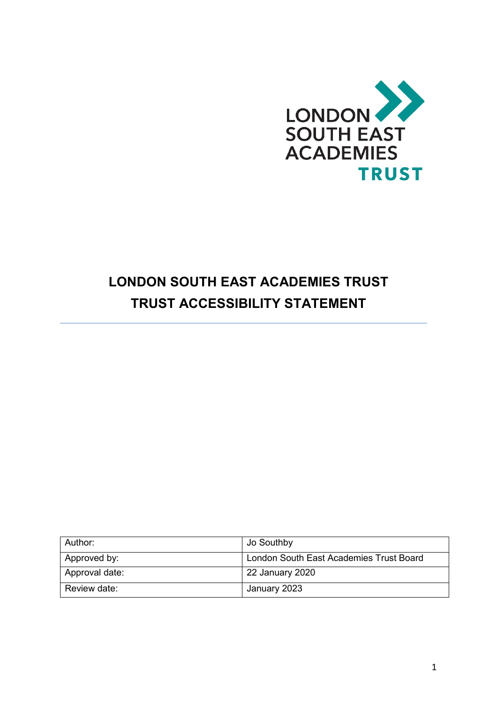

# **LONDON SOUTH EAST ACADEMIES TRUST TRUST ACCESSIBILITY STATEMENT**

| Author:        | Jo Southby                              |
|----------------|-----------------------------------------|
| Approved by:   | London South East Academies Trust Board |
| Approval date: | 22 January 2020                         |
| Review date:   | January 2023                            |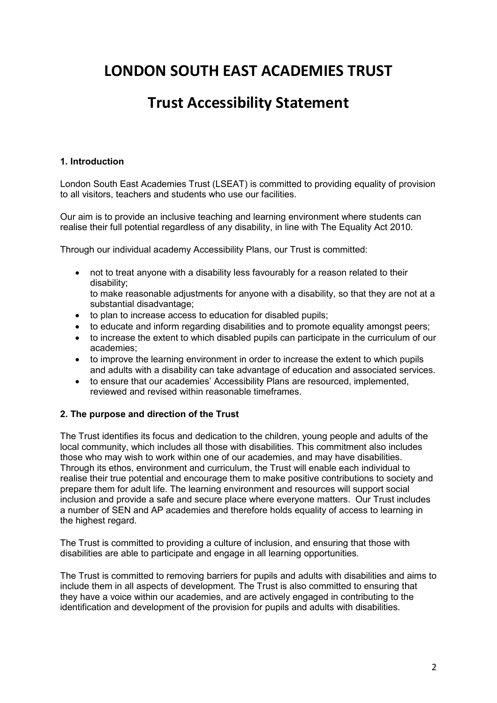## **LONDON SOUTH EAST ACADEMIES TRUST**

### **Trust Accessibility Statement**

#### **1. Introduction**

London South East Academies Trust (LSEAT) is committed to providing equality of provision to all visitors, teachers and students who use our facilities.

Our aim is to provide an inclusive teaching and learning environment where students can realise their full potential regardless of any disability, in line with The Equality Act 2010.

Through our individual academy Accessibility Plans, our Trust is committed:

• not to treat anyone with a disability less favourably for a reason related to their disability;

to make reasonable adjustments for anyone with a disability, so that they are not at a substantial disadvantage;

- to plan to increase access to education for disabled pupils;
- to educate and inform regarding disabilities and to promote equality amongst peers;
- to increase the extent to which disabled pupils can participate in the curriculum of our academies;
- to improve the learning environment in order to increase the extent to which pupils and adults with a disability can take advantage of education and associated services.
- to ensure that our academies' Accessibility Plans are resourced, implemented, reviewed and revised within reasonable timeframes.

#### **2. The purpose and direction of the Trust**

The Trust identifies its focus and dedication to the children, young people and adults of the local community, which includes all those with disabilities. This commitment also includes those who may wish to work within one of our academies, and may have disabilities. Through its ethos, environment and curriculum, the Trust will enable each individual to realise their true potential and encourage them to make positive contributions to society and prepare them for adult life. The learning environment and resources will support social inclusion and provide a safe and secure place where everyone matters. Our Trust includes a number of SEN and AP academies and therefore holds equality of access to learning in the highest regard.

The Trust is committed to providing a culture of inclusion, and ensuring that those with disabilities are able to participate and engage in all learning opportunities.

The Trust is committed to removing barriers for pupils and adults with disabilities and aims to include them in all aspects of development. The Trust is also committed to ensuring that they have a voice within our academies, and are actively engaged in contributing to the identification and development of the provision for pupils and adults with disabilities.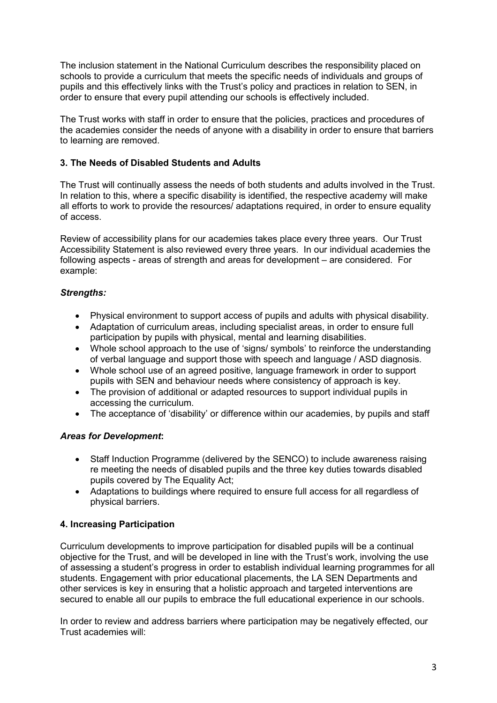The inclusion statement in the National Curriculum describes the responsibility placed on schools to provide a curriculum that meets the specific needs of individuals and groups of pupils and this effectively links with the Trust's policy and practices in relation to SEN, in order to ensure that every pupil attending our schools is effectively included.

The Trust works with staff in order to ensure that the policies, practices and procedures of the academies consider the needs of anyone with a disability in order to ensure that barriers to learning are removed.

#### **3. The Needs of Disabled Students and Adults**

The Trust will continually assess the needs of both students and adults involved in the Trust. In relation to this, where a specific disability is identified, the respective academy will make all efforts to work to provide the resources/ adaptations required, in order to ensure equality of access.

Review of accessibility plans for our academies takes place every three years. Our Trust Accessibility Statement is also reviewed every three years. In our individual academies the following aspects - areas of strength and areas for development – are considered. For example:

#### *Strengths:*

- Physical environment to support access of pupils and adults with physical disability.
- Adaptation of curriculum areas, including specialist areas, in order to ensure full participation by pupils with physical, mental and learning disabilities.
- Whole school approach to the use of 'signs/ symbols' to reinforce the understanding of verbal language and support those with speech and language / ASD diagnosis.
- Whole school use of an agreed positive, language framework in order to support pupils with SEN and behaviour needs where consistency of approach is key.
- The provision of additional or adapted resources to support individual pupils in accessing the curriculum.
- The acceptance of 'disability' or difference within our academies, by pupils and staff

#### *Areas for Development***:**

- Staff Induction Programme (delivered by the SENCO) to include awareness raising re meeting the needs of disabled pupils and the three key duties towards disabled pupils covered by The Equality Act;
- Adaptations to buildings where required to ensure full access for all regardless of physical barriers.

#### **4. Increasing Participation**

Curriculum developments to improve participation for disabled pupils will be a continual objective for the Trust, and will be developed in line with the Trust's work, involving the use of assessing a student's progress in order to establish individual learning programmes for all students. Engagement with prior educational placements, the LA SEN Departments and other services is key in ensuring that a holistic approach and targeted interventions are secured to enable all our pupils to embrace the full educational experience in our schools.

In order to review and address barriers where participation may be negatively effected, our Trust academies will: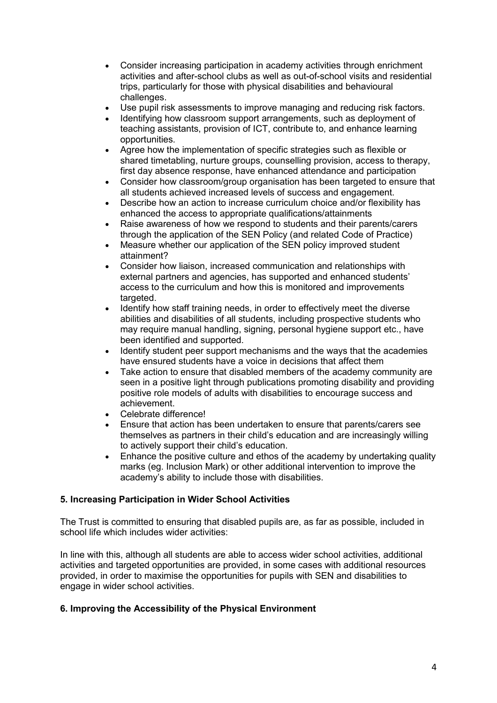- Consider increasing participation in academy activities through enrichment activities and after-school clubs as well as out-of-school visits and residential trips, particularly for those with physical disabilities and behavioural challenges.
- Use pupil risk assessments to improve managing and reducing risk factors.
- Identifying how classroom support arrangements, such as deployment of teaching assistants, provision of ICT, contribute to, and enhance learning opportunities.
- Agree how the implementation of specific strategies such as flexible or shared timetabling, nurture groups, counselling provision, access to therapy, first day absence response, have enhanced attendance and participation
- Consider how classroom/group organisation has been targeted to ensure that all students achieved increased levels of success and engagement.
- Describe how an action to increase curriculum choice and/or flexibility has enhanced the access to appropriate qualifications/attainments
- Raise awareness of how we respond to students and their parents/carers through the application of the SEN Policy (and related Code of Practice)
- Measure whether our application of the SEN policy improved student attainment?
- Consider how liaison, increased communication and relationships with external partners and agencies, has supported and enhanced students' access to the curriculum and how this is monitored and improvements targeted.
- Identify how staff training needs, in order to effectively meet the diverse abilities and disabilities of all students, including prospective students who may require manual handling, signing, personal hygiene support etc., have been identified and supported.
- Identify student peer support mechanisms and the ways that the academies have ensured students have a voice in decisions that affect them
- Take action to ensure that disabled members of the academy community are seen in a positive light through publications promoting disability and providing positive role models of adults with disabilities to encourage success and achievement.
- Celebrate difference!
- Ensure that action has been undertaken to ensure that parents/carers see themselves as partners in their child's education and are increasingly willing to actively support their child's education.
- Enhance the positive culture and ethos of the academy by undertaking quality marks (eg. Inclusion Mark) or other additional intervention to improve the academy's ability to include those with disabilities.

#### **5. Increasing Participation in Wider School Activities**

The Trust is committed to ensuring that disabled pupils are, as far as possible, included in school life which includes wider activities:

In line with this, although all students are able to access wider school activities, additional activities and targeted opportunities are provided, in some cases with additional resources provided, in order to maximise the opportunities for pupils with SEN and disabilities to engage in wider school activities.

#### **6. Improving the Accessibility of the Physical Environment**